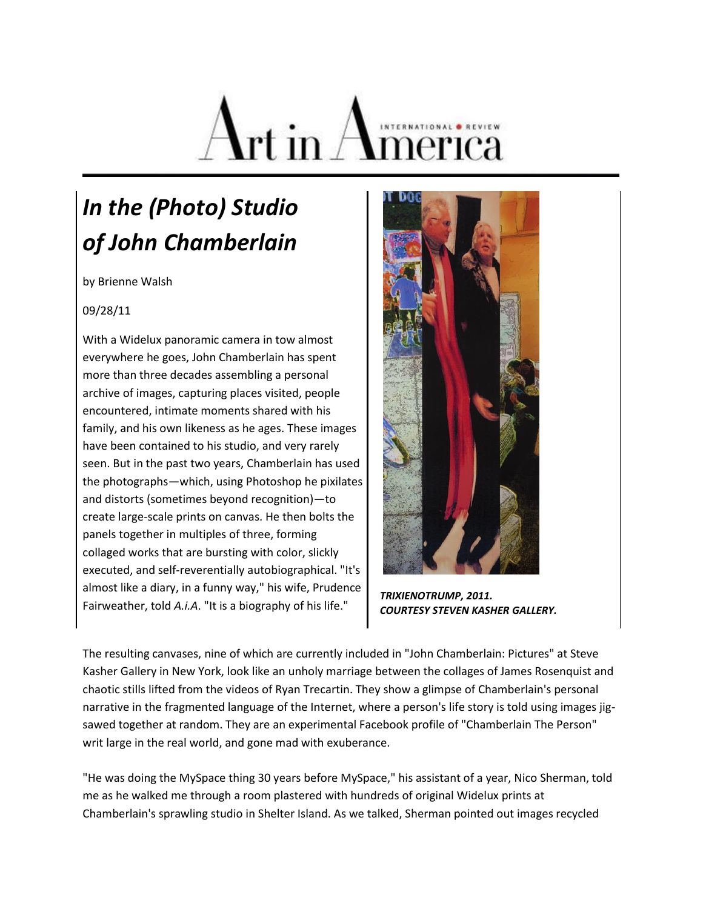

## *In the (Photo) Studio of John Chamberlain*

by Brienne Walsh

## 09/28/11

With a Widelux panoramic camera in tow almost everywhere he goes, John Chamberlain has spent more than three decades assembling a personal archive of images, capturing places visited, people encountered, intimate moments shared with his family, and his own likeness as he ages. These images have been contained to his studio, and very rarely seen. But in the past two years, Chamberlain has used the photographs—which, using Photoshop he pixilates and distorts (sometimes beyond recognition)—to create large-scale prints on canvas. He then bolts the panels together in multiples of three, forming collaged works that are bursting with color, slickly executed, and self-reverentially autobiographical. "It's almost like a diary, in a funny way," his wife, Prudence Fairweather, told *A.i.A*. "It is a biography of his life."



 *TRIXIENOTRUMP, 2011. COURTESY STEVEN KASHER GALLERY.*

The resulting canvases, nine of which are currently included in "John Chamberlain: Pictures" at Steve Kasher Gallery in New York, look like an unholy marriage between the collages of James Rosenquist and chaotic stills lifted from the videos of Ryan Trecartin. They show a glimpse of Chamberlain's personal narrative in the fragmented language of the Internet, where a person's life story is told using images jigsawed together at random. They are an experimental Facebook profile of "Chamberlain The Person" writ large in the real world, and gone mad with exuberance.

"He was doing the MySpace thing 30 years before MySpace," his assistant of a year, Nico Sherman, told me as he walked me through a room plastered with hundreds of original Widelux prints at Chamberlain's sprawling studio in Shelter Island. As we talked, Sherman pointed out images recycled